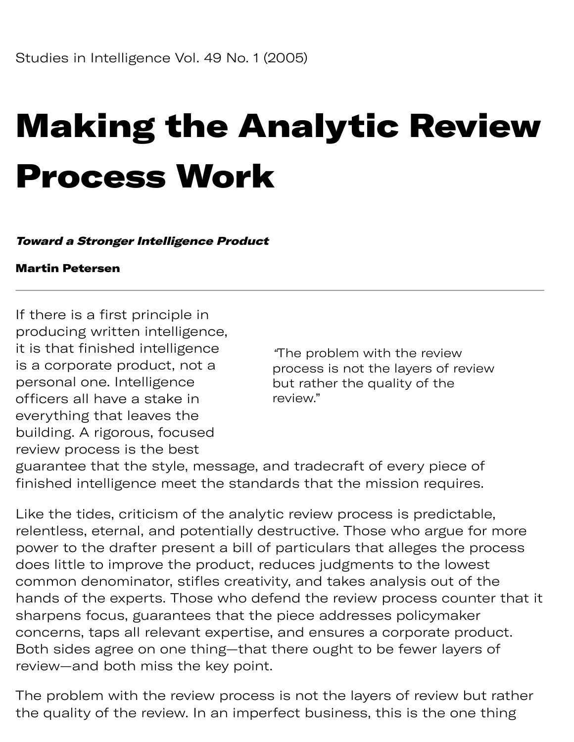# Making the Analytic Review Process Work

Toward a Stronger Intelligence Product

#### Martin Petersen

If there is a first principle in producing written intelligence, it is that finished intelligence is a corporate product, not a personal one. Intelligence officers all have a stake in everything that leaves the building. A rigorous, focused review process is the best

"The problem with the review process is not the layers of review but rather the quality of the review."

guarantee that the style, message, and tradecraft of every piece of finished intelligence meet the standards that the mission requires.

Like the tides, criticism of the analytic review process is predictable, relentless, eternal, and potentially destructive. Those who argue for more power to the drafter present a bill of particulars that alleges the process does little to improve the product, reduces judgments to the lowest common denominator, stifles creativity, and takes analysis out of the hands of the experts. Those who defend the review process counter that it sharpens focus, guarantees that the piece addresses policymaker concerns, taps all relevant expertise, and ensures a corporate product. Both sides agree on one thing—that there ought to be fewer layers of review—and both miss the key point.

The problem with the review process is not the layers of review but rather the quality of the review. In an imperfect business, this is the one thing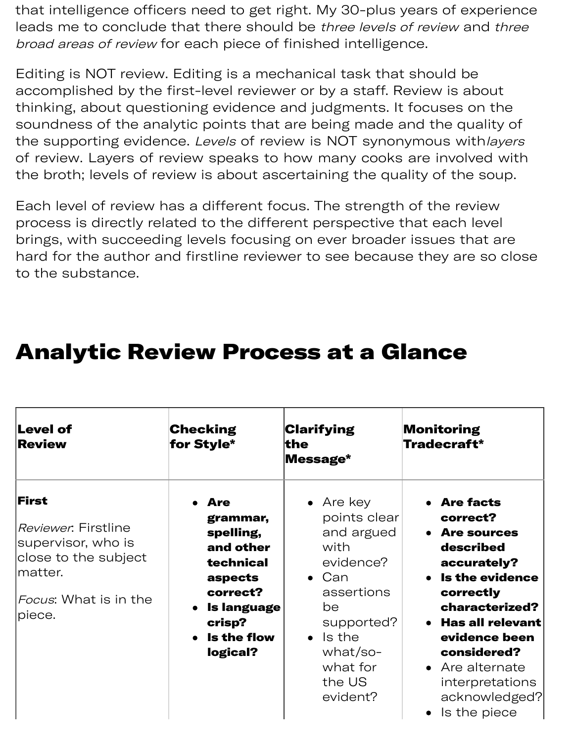that intelligence officers need to get right. My 30-plus years of experience leads me to conclude that there should be three levels of review and three broad areas of review for each piece of finished intelligence.

Editing is NOT review. Editing is a mechanical task that should be accomplished by the first-level reviewer or by a staff. Review is about thinking, about questioning evidence and judgments. It focuses on the soundness of the analytic points that are being made and the quality of the supporting evidence. Levels of review is NOT synonymous with layers of review. Layers of review speaks to how many cooks are involved with the broth; levels of review is about ascertaining the quality of the soup.

Each level of review has a different focus. The strength of the review process is directly related to the different perspective that each level brings, with succeeding levels focusing on ever broader issues that are hard for the author and firstline reviewer to see because they are so close to the substance.

| Level of<br><b>Review</b>                                                                                                         | <b>Checking</b><br>for Style*                                                                                                                                               | <b>Clarifying</b><br>the<br>Message*                                                                                                                                                         | Monitoring<br><b>Tradecraft*</b>                                                                                                                                                                                                                        |
|-----------------------------------------------------------------------------------------------------------------------------------|-----------------------------------------------------------------------------------------------------------------------------------------------------------------------------|----------------------------------------------------------------------------------------------------------------------------------------------------------------------------------------------|---------------------------------------------------------------------------------------------------------------------------------------------------------------------------------------------------------------------------------------------------------|
| First<br>Reviewer. Firstline<br>supervisor, who is<br>close to the subject<br>lmatter.<br><i>Focus</i> : What is in the<br>piece. | • Are<br>grammar,<br>spelling,<br>and other<br>technical<br>aspects<br>correct?<br><b>Is language</b><br>$\bullet$<br>crisp?<br><b>Is the flow</b><br>$\bullet$<br>logical? | $\bullet$ Are key<br>points clear<br>and argued<br>with<br>evidence?<br>$\bullet$ Can<br>assertions<br>be<br>supported?<br>Is the<br>$\bullet$<br>what/so-<br>what for<br>the US<br>evident? | • Are facts<br>correct?<br>• Are sources<br>described<br>accurately?<br>• Is the evidence<br>correctly<br>characterized?<br>• Has all relevant<br>evidence been<br>considered?<br>• Are alternate<br>interpretations<br>acknowledged?<br>• Is the piece |

#### Analytic Review Process at a Glance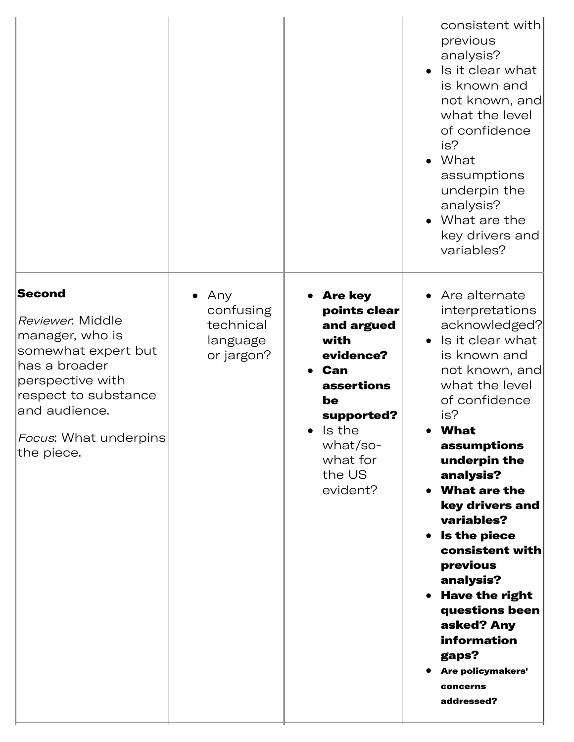|                                                                                                                                                                                                     |                                                                      |                                                                                                                                                                    | consistent with<br>previous<br>analysis?<br>• Is it clear what<br>is known and<br>not known, and<br>what the level<br>of confidence<br>is?<br>• What<br>assumptions<br>underpin the<br>analysis?<br>• What are the<br>key drivers and<br>variables?                                                                                                                                                                                                              |
|-----------------------------------------------------------------------------------------------------------------------------------------------------------------------------------------------------|----------------------------------------------------------------------|--------------------------------------------------------------------------------------------------------------------------------------------------------------------|------------------------------------------------------------------------------------------------------------------------------------------------------------------------------------------------------------------------------------------------------------------------------------------------------------------------------------------------------------------------------------------------------------------------------------------------------------------|
| Second<br><i>Reviewer</i> : Middle<br> manager, who is<br>somewhat expert but<br>has a broader<br>perspective with<br>respect to substance<br>land audience.<br>Focus: What underpins<br>the piece. | Any<br>$\bullet$<br>confusing<br>technical<br>language<br>or jargon? | <b>Are key</b><br>points clear<br>and argued<br>with<br>evidence?<br>Can<br>assertions<br>be<br>supported?<br>Is the<br>what/so-<br>what for<br>the US<br>evident? | • Are alternate<br>interpretations<br>acknowledged?<br>Is it clear what<br>is known and<br>not known, and<br>what the level<br>of confidence<br>is?<br>$\bullet$ What<br>assumptions<br>underpin the<br>analysis?<br>• What are the<br>key drivers and<br>variables?<br>Is the piece<br>consistent with<br>previous<br>analysis?<br><b>Have the right</b><br>questions been<br>asked? Any<br>information<br>gaps?<br>Are policymakers'<br>concerns<br>addressed? |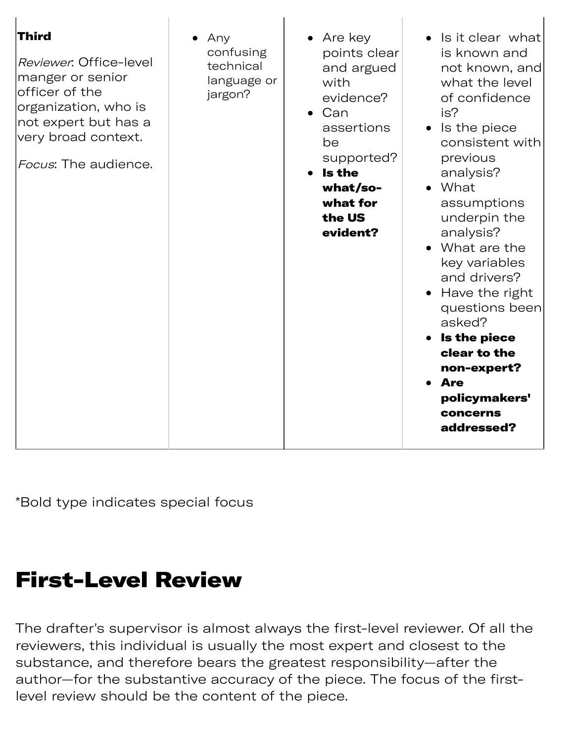| <b>Third</b><br>Reviewer: Office-level<br>manger or senior<br>officer of the<br>organization, who is<br>not expert but has a<br>very broad context.<br>Focus: The audience. | Any<br>$\bullet$<br>confusing<br>technical<br>language or<br>jargon? | $\bullet$ Are key<br>points clear<br>and argued<br>with<br>evidence?<br>$\bullet$ Can<br>assertions<br>be<br>supported?<br>Is the<br>what/so-<br>what for<br>the US<br>evident? | • Is it clear what<br>is known and<br>not known, and<br>what the level<br>of confidence<br>is?<br>• Is the piece<br>consistent with<br>previous<br>analysis?<br>• What<br>assumptions<br>underpin the<br>analysis?<br>• What are the<br>key variables<br>and drivers?<br>• Have the right<br>questions been<br>asked?<br>Is the piece<br>clear to the<br>non-expert?<br>• Are<br>policymakers'<br>concerns<br>addressed? |
|-----------------------------------------------------------------------------------------------------------------------------------------------------------------------------|----------------------------------------------------------------------|---------------------------------------------------------------------------------------------------------------------------------------------------------------------------------|--------------------------------------------------------------------------------------------------------------------------------------------------------------------------------------------------------------------------------------------------------------------------------------------------------------------------------------------------------------------------------------------------------------------------|
|-----------------------------------------------------------------------------------------------------------------------------------------------------------------------------|----------------------------------------------------------------------|---------------------------------------------------------------------------------------------------------------------------------------------------------------------------------|--------------------------------------------------------------------------------------------------------------------------------------------------------------------------------------------------------------------------------------------------------------------------------------------------------------------------------------------------------------------------------------------------------------------------|

\*Bold type indicates special focus

#### First-Level Review

The drafter's supervisor is almost always the first-level reviewer. Of all the reviewers, this individual is usually the most expert and closest to the substance, and therefore bears the greatest responsibility—after the author—for the substantive accuracy of the piece. The focus of the firstlevel review should be the content of the piece.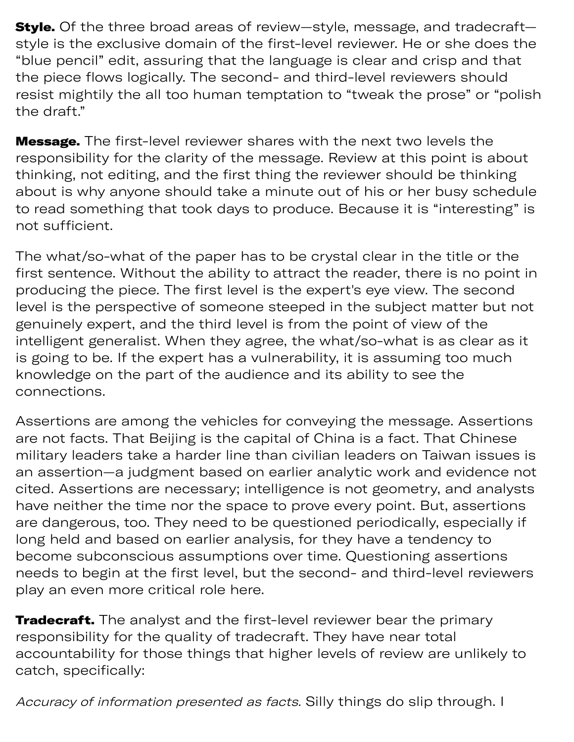**Style.** Of the three broad areas of review-style, message, and tradecraftstyle is the exclusive domain of the first-level reviewer. He or she does the "blue pencil" edit, assuring that the language is clear and crisp and that the piece flows logically. The second- and third-level reviewers should resist mightily the all too human temptation to "tweak the prose" or "polish the draft."

**Message.** The first-level reviewer shares with the next two levels the responsibility for the clarity of the message. Review at this point is about thinking, not editing, and the first thing the reviewer should be thinking about is why anyone should take a minute out of his or her busy schedule to read something that took days to produce. Because it is "interesting" is not sufficient.

The what/so-what of the paper has to be crystal clear in the title or the first sentence. Without the ability to attract the reader, there is no point in producing the piece. The first level is the expert's eye view. The second level is the perspective of someone steeped in the subject matter but not genuinely expert, and the third level is from the point of view of the intelligent generalist. When they agree, the what/so-what is as clear as it is going to be. If the expert has a vulnerability, it is assuming too much knowledge on the part of the audience and its ability to see the connections.

Assertions are among the vehicles for conveying the message. Assertions are not facts. That Beijing is the capital of China is a fact. That Chinese military leaders take a harder line than civilian leaders on Taiwan issues is an assertion—a judgment based on earlier analytic work and evidence not cited. Assertions are necessary; intelligence is not geometry, and analysts have neither the time nor the space to prove every point. But, assertions are dangerous, too. They need to be questioned periodically, especially if long held and based on earlier analysis, for they have a tendency to become subconscious assumptions over time. Questioning assertions needs to begin at the first level, but the second- and third-level reviewers play an even more critical role here.

Tradecraft. The analyst and the first-level reviewer bear the primary responsibility for the quality of tradecraft. They have near total accountability for those things that higher levels of review are unlikely to catch, specifically:

Accuracy of information presented as facts. Silly things do slip through. I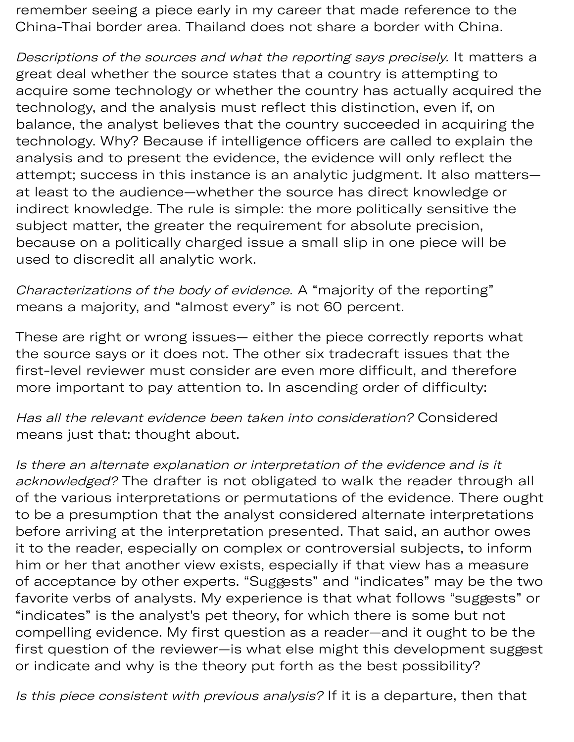remember seeing a piece early in my career that made reference to the China-Thai border area. Thailand does not share a border with China.

Descriptions of the sources and what the reporting says precisely. It matters a great deal whether the source states that a country is attempting to acquire some technology or whether the country has actually acquired the technology, and the analysis must reflect this distinction, even if, on balance, the analyst believes that the country succeeded in acquiring the technology. Why? Because if intelligence officers are called to explain the analysis and to present the evidence, the evidence will only reflect the attempt; success in this instance is an analytic judgment. It also matters at least to the audience—whether the source has direct knowledge or indirect knowledge. The rule is simple: the more politically sensitive the subject matter, the greater the requirement for absolute precision, because on a politically charged issue a small slip in one piece will be used to discredit all analytic work.

Characterizations of the body of evidence. A "majority of the reporting" means a majority, and "almost every" is not 60 percent.

These are right or wrong issues— either the piece correctly reports what the source says or it does not. The other six tradecraft issues that the first-level reviewer must consider are even more difficult, and therefore more important to pay attention to. In ascending order of difficulty:

Has all the relevant evidence been taken into consideration? Considered means just that: thought about.

Is there an alternate explanation or interpretation of the evidence and is it acknowledged? The drafter is not obligated to walk the reader through all of the various interpretations or permutations of the evidence. There ought to be a presumption that the analyst considered alternate interpretations before arriving at the interpretation presented. That said, an author owes it to the reader, especially on complex or controversial subjects, to inform him or her that another view exists, especially if that view has a measure of acceptance by other experts. "Suggests" and "indicates" may be the two favorite verbs of analysts. My experience is that what follows "suggests" or "indicates" is the analyst's pet theory, for which there is some but not compelling evidence. My first question as a reader—and it ought to be the first question of the reviewer—is what else might this development suggest or indicate and why is the theory put forth as the best possibility?

Is this piece consistent with previous analysis? If it is a departure, then that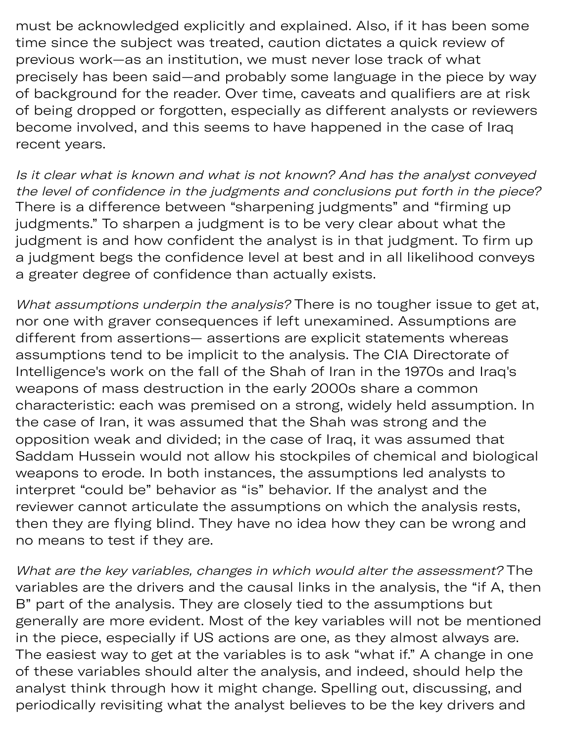must be acknowledged explicitly and explained. Also, if it has been some time since the subject was treated, caution dictates a quick review of previous work—as an institution, we must never lose track of what precisely has been said—and probably some language in the piece by way of background for the reader. Over time, caveats and qualifiers are at risk of being dropped or forgotten, especially as different analysts or reviewers become involved, and this seems to have happened in the case of Iraq recent years.

Is it clear what is known and what is not known? And has the analyst conveyed the level of confidence in the judgments and conclusions put forth in the piece? There is a difference between "sharpening judgments" and "firming up judgments." To sharpen a judgment is to be very clear about what the judgment is and how confident the analyst is in that judgment. To firm up a judgment begs the confidence level at best and in all likelihood conveys a greater degree of confidence than actually exists.

What assumptions underpin the analysis? There is no tougher issue to get at, nor one with graver consequences if left unexamined. Assumptions are different from assertions— assertions are explicit statements whereas assumptions tend to be implicit to the analysis. The CIA Directorate of Intelligence's work on the fall of the Shah of Iran in the 1970s and Iraq's weapons of mass destruction in the early 2000s share a common characteristic: each was premised on a strong, widely held assumption. In the case of Iran, it was assumed that the Shah was strong and the opposition weak and divided; in the case of Iraq, it was assumed that Saddam Hussein would not allow his stockpiles of chemical and biological weapons to erode. In both instances, the assumptions led analysts to interpret "could be" behavior as "is" behavior. If the analyst and the reviewer cannot articulate the assumptions on which the analysis rests, then they are flying blind. They have no idea how they can be wrong and no means to test if they are.

What are the key variables, changes in which would alter the assessment? The variables are the drivers and the causal links in the analysis, the "if A, then B" part of the analysis. They are closely tied to the assumptions but generally are more evident. Most of the key variables will not be mentioned in the piece, especially if US actions are one, as they almost always are. The easiest way to get at the variables is to ask "what if." A change in one of these variables should alter the analysis, and indeed, should help the analyst think through how it might change. Spelling out, discussing, and periodically revisiting what the analyst believes to be the key drivers and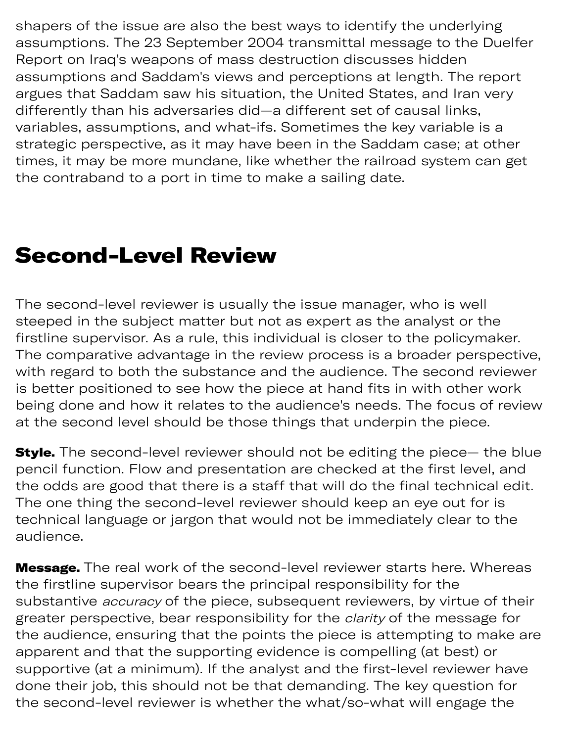shapers of the issue are also the best ways to identify the underlying assumptions. The 23 September 2004 transmittal message to the Duelfer Report on Iraq's weapons of mass destruction discusses hidden assumptions and Saddam's views and perceptions at length. The report argues that Saddam saw his situation, the United States, and Iran very differently than his adversaries did—a different set of causal links, variables, assumptions, and what-ifs. Sometimes the key variable is a strategic perspective, as it may have been in the Saddam case; at other times, it may be more mundane, like whether the railroad system can get the contraband to a port in time to make a sailing date.

### Second-Level Review

The second-level reviewer is usually the issue manager, who is well steeped in the subject matter but not as expert as the analyst or the firstline supervisor. As a rule, this individual is closer to the policymaker. The comparative advantage in the review process is a broader perspective, with regard to both the substance and the audience. The second reviewer is better positioned to see how the piece at hand fits in with other work being done and how it relates to the audience's needs. The focus of review at the second level should be those things that underpin the piece.

**Style.** The second-level reviewer should not be editing the piece— the blue pencil function. Flow and presentation are checked at the first level, and the odds are good that there is a staff that will do the final technical edit. The one thing the second-level reviewer should keep an eye out for is technical language or jargon that would not be immediately clear to the audience.

**Message.** The real work of the second-level reviewer starts here. Whereas the firstline supervisor bears the principal responsibility for the substantive *accuracy* of the piece, subsequent reviewers, by virtue of their greater perspective, bear responsibility for the *clarity* of the message for the audience, ensuring that the points the piece is attempting to make are apparent and that the supporting evidence is compelling (at best) or supportive (at a minimum). If the analyst and the first-level reviewer have done their job, this should not be that demanding. The key question for the second-level reviewer is whether the what/so-what will engage the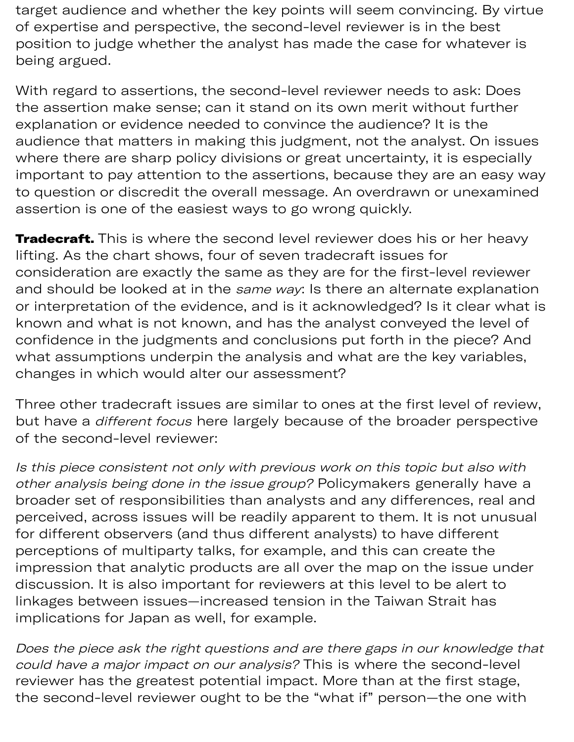target audience and whether the key points will seem convincing. By virtue of expertise and perspective, the second-level reviewer is in the best position to judge whether the analyst has made the case for whatever is being argued.

With regard to assertions, the second-level reviewer needs to ask: Does the assertion make sense; can it stand on its own merit without further explanation or evidence needed to convince the audience? It is the audience that matters in making this judgment, not the analyst. On issues where there are sharp policy divisions or great uncertainty, it is especially important to pay attention to the assertions, because they are an easy way to question or discredit the overall message. An overdrawn or unexamined assertion is one of the easiest ways to go wrong quickly.

Tradecraft. This is where the second level reviewer does his or her heavy lifting. As the chart shows, four of seven tradecraft issues for consideration are exactly the same as they are for the first-level reviewer and should be looked at in the same way: Is there an alternate explanation or interpretation of the evidence, and is it acknowledged? Is it clear what is known and what is not known, and has the analyst conveyed the level of confidence in the judgments and conclusions put forth in the piece? And what assumptions underpin the analysis and what are the key variables, changes in which would alter our assessment?

Three other tradecraft issues are similar to ones at the first level of review, but have a different focus here largely because of the broader perspective of the second-level reviewer:

Is this piece consistent not only with previous work on this topic but also with other analysis being done in the issue group? Policymakers generally have a broader set of responsibilities than analysts and any differences, real and perceived, across issues will be readily apparent to them. It is not unusual for different observers (and thus different analysts) to have different perceptions of multiparty talks, for example, and this can create the impression that analytic products are all over the map on the issue under discussion. It is also important for reviewers at this level to be alert to linkages between issues—increased tension in the Taiwan Strait has implications for Japan as well, for example.

Does the piece ask the right questions and are there gaps in our knowledge that could have a major impact on our analysis? This is where the second-level reviewer has the greatest potential impact. More than at the first stage, the second-level reviewer ought to be the "what if" person—the one with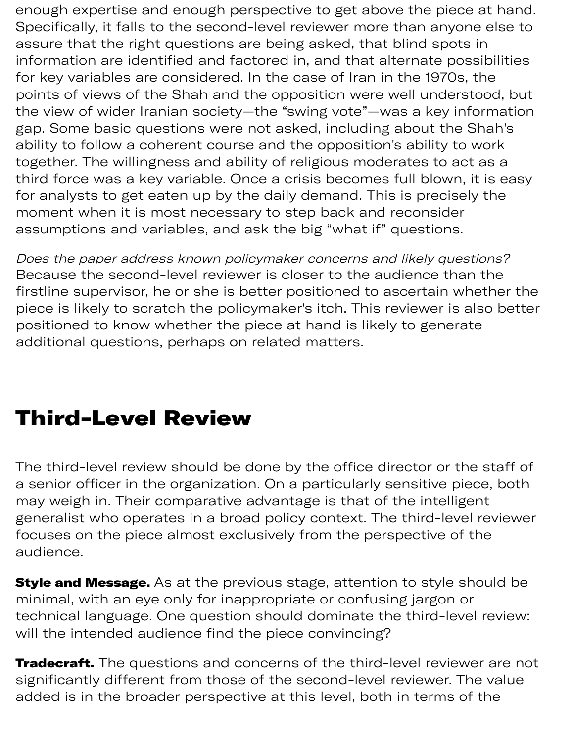enough expertise and enough perspective to get above the piece at hand. Specifically, it falls to the second-level reviewer more than anyone else to assure that the right questions are being asked, that blind spots in information are identified and factored in, and that alternate possibilities for key variables are considered. In the case of Iran in the 1970s, the points of views of the Shah and the opposition were well understood, but the view of wider Iranian society—the "swing vote"—was a key information gap. Some basic questions were not asked, including about the Shah's ability to follow a coherent course and the opposition's ability to work together. The willingness and ability of religious moderates to act as a third force was a key variable. Once a crisis becomes full blown, it is easy for analysts to get eaten up by the daily demand. This is precisely the moment when it is most necessary to step back and reconsider assumptions and variables, and ask the big "what if" questions.

Does the paper address known policymaker concerns and likely questions? Because the second-level reviewer is closer to the audience than the firstline supervisor, he or she is better positioned to ascertain whether the piece is likely to scratch the policymaker's itch. This reviewer is also better positioned to know whether the piece at hand is likely to generate additional questions, perhaps on related matters.

#### Third-Level Review

The third-level review should be done by the office director or the staff of a senior officer in the organization. On a particularly sensitive piece, both may weigh in. Their comparative advantage is that of the intelligent generalist who operates in a broad policy context. The third-level reviewer focuses on the piece almost exclusively from the perspective of the audience.

**Style and Message.** As at the previous stage, attention to style should be minimal, with an eye only for inappropriate or confusing jargon or technical language. One question should dominate the third-level review: will the intended audience find the piece convincing?

Tradecraft. The questions and concerns of the third-level reviewer are not significantly different from those of the second-level reviewer. The value added is in the broader perspective at this level, both in terms of the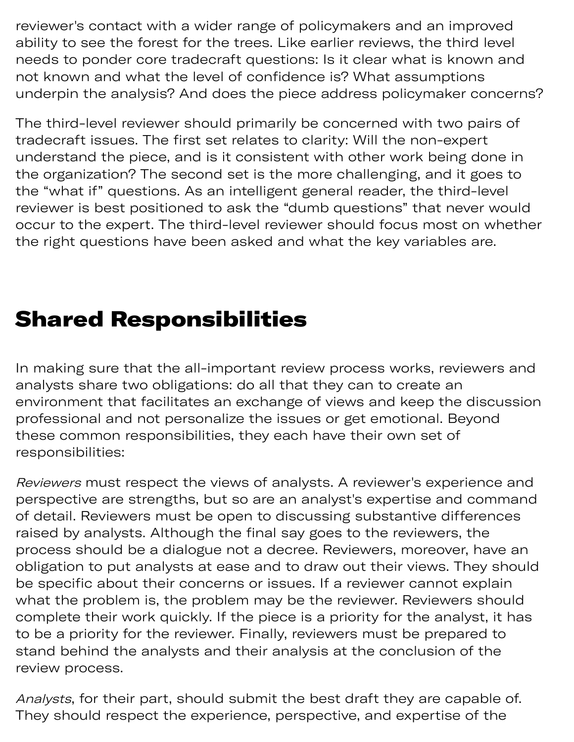reviewer's contact with a wider range of policymakers and an improved ability to see the forest for the trees. Like earlier reviews, the third level needs to ponder core tradecraft questions: Is it clear what is known and not known and what the level of confidence is? What assumptions underpin the analysis? And does the piece address policymaker concerns?

The third-level reviewer should primarily be concerned with two pairs of tradecraft issues. The first set relates to clarity: Will the non-expert understand the piece, and is it consistent with other work being done in the organization? The second set is the more challenging, and it goes to the "what if" questions. As an intelligent general reader, the third-level reviewer is best positioned to ask the "dumb questions" that never would occur to the expert. The third-level reviewer should focus most on whether the right questions have been asked and what the key variables are.

## Shared Responsibilities

In making sure that the all-important review process works, reviewers and analysts share two obligations: do all that they can to create an environment that facilitates an exchange of views and keep the discussion professional and not personalize the issues or get emotional. Beyond these common responsibilities, they each have their own set of responsibilities:

Reviewers must respect the views of analysts. A reviewer's experience and perspective are strengths, but so are an analyst's expertise and command of detail. Reviewers must be open to discussing substantive differences raised by analysts. Although the final say goes to the reviewers, the process should be a dialogue not a decree. Reviewers, moreover, have an obligation to put analysts at ease and to draw out their views. They should be specific about their concerns or issues. If a reviewer cannot explain what the problem is, the problem may be the reviewer. Reviewers should complete their work quickly. If the piece is a priority for the analyst, it has to be a priority for the reviewer. Finally, reviewers must be prepared to stand behind the analysts and their analysis at the conclusion of the review process.

Analysts, for their part, should submit the best draft they are capable of. They should respect the experience, perspective, and expertise of the